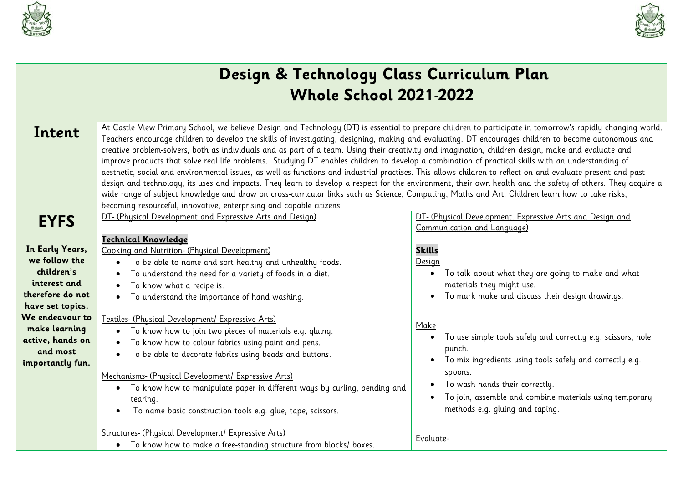



|                                                                                                                                                                                                               | Design & Technology Class Curriculum Plan<br><b>Whole School 2021-2022</b>                                                                                                                                                                                                                                                                                                                                                                                                                                                                                                                                                                                                                                                                                                                                                                                                                                                                                                                                                                                                                                                                                                                |                                                                                                                                                                                                                                                                                                                                                                                                                                                  |
|---------------------------------------------------------------------------------------------------------------------------------------------------------------------------------------------------------------|-------------------------------------------------------------------------------------------------------------------------------------------------------------------------------------------------------------------------------------------------------------------------------------------------------------------------------------------------------------------------------------------------------------------------------------------------------------------------------------------------------------------------------------------------------------------------------------------------------------------------------------------------------------------------------------------------------------------------------------------------------------------------------------------------------------------------------------------------------------------------------------------------------------------------------------------------------------------------------------------------------------------------------------------------------------------------------------------------------------------------------------------------------------------------------------------|--------------------------------------------------------------------------------------------------------------------------------------------------------------------------------------------------------------------------------------------------------------------------------------------------------------------------------------------------------------------------------------------------------------------------------------------------|
| Intent                                                                                                                                                                                                        | At Castle View Primary School, we believe Design and Technology (DT) is essential to prepare children to participate in tomorrow's rapidly changing world.<br>Teachers encourage children to develop the skills of investigating, designing, making and evaluating. DT encourages children to become autonomous and<br>creative problem-solvers, both as individuals and as part of a team. Using their creativity and imagination, children design, make and evaluate and<br>improve products that solve real life problems. Studying DT enables children to develop a combination of practical skills with an understanding of<br>aesthetic, social and environmental issues, as well as functions and industrial practises. This allows children to reflect on and evaluate present and past<br>design and technology, its uses and impacts. They learn to develop a respect for the environment, their own health and the safety of others. They acquire a<br>wide range of subject knowledge and draw on cross-curricular links such as Science, Computing, Maths and Art. Children learn how to take risks,<br>becoming resourceful, innovative, enterprising and capable citizens. |                                                                                                                                                                                                                                                                                                                                                                                                                                                  |
| <b>EYFS</b><br>In Early Years,<br>we follow the<br>children's<br>interest and<br>therefore do not<br>have set topics.<br>We endeavour to<br>make learning<br>active, hands on<br>and most<br>importantly fun. | DT- (Physical Development and Expressive Arts and Design)<br>Technical Knowledge<br>Cooking and Nutrition- (Physical Development)<br>To be able to name and sort healthy and unhealthy foods.<br>To understand the need for a variety of foods in a diet.<br>To know what a recipe is.<br>To understand the importance of hand washing.<br>$\bullet$<br>Textiles- (Physical Development/ Expressive Arts)<br>To know how to join two pieces of materials e.g. gluing.<br>$\bullet$<br>To know how to colour fabrics using paint and pens.<br>To be able to decorate fabrics using beads and buttons.                                                                                                                                                                                                                                                                                                                                                                                                                                                                                                                                                                                      | DT- (Physical Development. Expressive Arts and Design and<br>Communication and Language)<br><b>Skills</b><br>Design<br>. To talk about what they are going to make and what<br>materials they might use.<br>To mark make and discuss their design drawings.<br>$\bullet$<br>Make<br>To use simple tools safely and correctly e.g. scissors, hole<br>$\bullet$<br>punch.<br>To mix ingredients using tools safely and correctly e.g.<br>$\bullet$ |
|                                                                                                                                                                                                               | Mechanisms- (Physical Development/ Expressive Arts)<br>• To know how to manipulate paper in different ways by curling, bending and<br>tearing.<br>To name basic construction tools e.g. qlue, tape, scissors.<br>Structures- (Physical Development/ Expressive Arts)<br>To know how to make a free-standing structure from blocks/ boxes.                                                                                                                                                                                                                                                                                                                                                                                                                                                                                                                                                                                                                                                                                                                                                                                                                                                 | spoons.<br>To wash hands their correctly.<br>To join, assemble and combine materials using temporary<br>methods e.g. gluing and taping.<br>Evaluate-                                                                                                                                                                                                                                                                                             |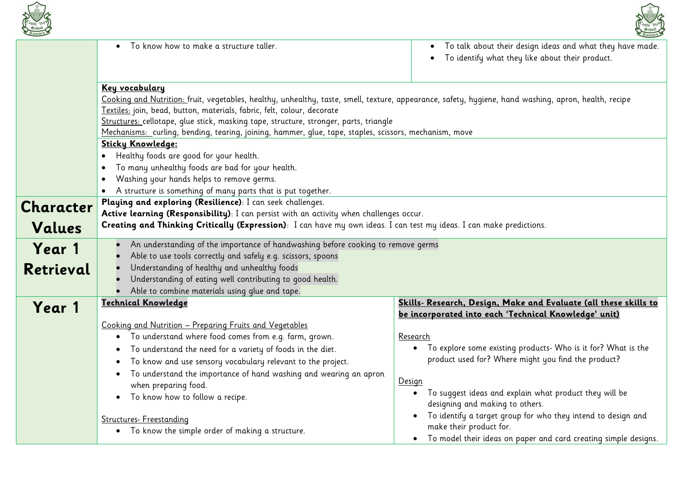



| To know how to make a structure taller.                                                                                                                                                                                                                                                                                                                                                                             | To talk about their design ideas and what they have made.<br>To identify what they like about their product.                                                                                                                                                                                                                                                                                                                                                                                                                                                                                                                                                                                                                                                                                                                                                                                                                                                                                                                                                                                                                                                                                                                                                              |
|---------------------------------------------------------------------------------------------------------------------------------------------------------------------------------------------------------------------------------------------------------------------------------------------------------------------------------------------------------------------------------------------------------------------|---------------------------------------------------------------------------------------------------------------------------------------------------------------------------------------------------------------------------------------------------------------------------------------------------------------------------------------------------------------------------------------------------------------------------------------------------------------------------------------------------------------------------------------------------------------------------------------------------------------------------------------------------------------------------------------------------------------------------------------------------------------------------------------------------------------------------------------------------------------------------------------------------------------------------------------------------------------------------------------------------------------------------------------------------------------------------------------------------------------------------------------------------------------------------------------------------------------------------------------------------------------------------|
| Key vocabulary<br>Textiles: join, bead, button, materials, fabric, felt, colour, decorate<br>Structures: cellotape, qlue stick, masking tape, structure, stronger, parts, triangle<br>Sticky Knowledge:<br>Healthy foods are good for your health.<br>To many unhealthy foods are bad for your health.<br>Washing your hands helps to remove germs.<br>A structure is something of many parts that is put together. |                                                                                                                                                                                                                                                                                                                                                                                                                                                                                                                                                                                                                                                                                                                                                                                                                                                                                                                                                                                                                                                                                                                                                                                                                                                                           |
|                                                                                                                                                                                                                                                                                                                                                                                                                     |                                                                                                                                                                                                                                                                                                                                                                                                                                                                                                                                                                                                                                                                                                                                                                                                                                                                                                                                                                                                                                                                                                                                                                                                                                                                           |
|                                                                                                                                                                                                                                                                                                                                                                                                                     |                                                                                                                                                                                                                                                                                                                                                                                                                                                                                                                                                                                                                                                                                                                                                                                                                                                                                                                                                                                                                                                                                                                                                                                                                                                                           |
|                                                                                                                                                                                                                                                                                                                                                                                                                     |                                                                                                                                                                                                                                                                                                                                                                                                                                                                                                                                                                                                                                                                                                                                                                                                                                                                                                                                                                                                                                                                                                                                                                                                                                                                           |
|                                                                                                                                                                                                                                                                                                                                                                                                                     |                                                                                                                                                                                                                                                                                                                                                                                                                                                                                                                                                                                                                                                                                                                                                                                                                                                                                                                                                                                                                                                                                                                                                                                                                                                                           |
|                                                                                                                                                                                                                                                                                                                                                                                                                     |                                                                                                                                                                                                                                                                                                                                                                                                                                                                                                                                                                                                                                                                                                                                                                                                                                                                                                                                                                                                                                                                                                                                                                                                                                                                           |
|                                                                                                                                                                                                                                                                                                                                                                                                                     |                                                                                                                                                                                                                                                                                                                                                                                                                                                                                                                                                                                                                                                                                                                                                                                                                                                                                                                                                                                                                                                                                                                                                                                                                                                                           |
|                                                                                                                                                                                                                                                                                                                                                                                                                     |                                                                                                                                                                                                                                                                                                                                                                                                                                                                                                                                                                                                                                                                                                                                                                                                                                                                                                                                                                                                                                                                                                                                                                                                                                                                           |
| Technical Knowledge                                                                                                                                                                                                                                                                                                                                                                                                 | Skills- Research, Design, Make and Evaluate (all these skills to                                                                                                                                                                                                                                                                                                                                                                                                                                                                                                                                                                                                                                                                                                                                                                                                                                                                                                                                                                                                                                                                                                                                                                                                          |
|                                                                                                                                                                                                                                                                                                                                                                                                                     | be incorporated into each 'Technical Knowledge' unit)                                                                                                                                                                                                                                                                                                                                                                                                                                                                                                                                                                                                                                                                                                                                                                                                                                                                                                                                                                                                                                                                                                                                                                                                                     |
|                                                                                                                                                                                                                                                                                                                                                                                                                     | Research                                                                                                                                                                                                                                                                                                                                                                                                                                                                                                                                                                                                                                                                                                                                                                                                                                                                                                                                                                                                                                                                                                                                                                                                                                                                  |
|                                                                                                                                                                                                                                                                                                                                                                                                                     | To explore some existing products- Who is it for? What is the<br>$\bullet$                                                                                                                                                                                                                                                                                                                                                                                                                                                                                                                                                                                                                                                                                                                                                                                                                                                                                                                                                                                                                                                                                                                                                                                                |
|                                                                                                                                                                                                                                                                                                                                                                                                                     | product used for? Where might you find the product?                                                                                                                                                                                                                                                                                                                                                                                                                                                                                                                                                                                                                                                                                                                                                                                                                                                                                                                                                                                                                                                                                                                                                                                                                       |
|                                                                                                                                                                                                                                                                                                                                                                                                                     |                                                                                                                                                                                                                                                                                                                                                                                                                                                                                                                                                                                                                                                                                                                                                                                                                                                                                                                                                                                                                                                                                                                                                                                                                                                                           |
| when preparing food.                                                                                                                                                                                                                                                                                                                                                                                                | Design                                                                                                                                                                                                                                                                                                                                                                                                                                                                                                                                                                                                                                                                                                                                                                                                                                                                                                                                                                                                                                                                                                                                                                                                                                                                    |
| To know how to follow a recipe.<br>$\bullet$                                                                                                                                                                                                                                                                                                                                                                        | To suggest ideas and explain what product they will be<br>$\bullet$<br>designing and making to others.                                                                                                                                                                                                                                                                                                                                                                                                                                                                                                                                                                                                                                                                                                                                                                                                                                                                                                                                                                                                                                                                                                                                                                    |
|                                                                                                                                                                                                                                                                                                                                                                                                                     | To identify a target group for who they intend to design and                                                                                                                                                                                                                                                                                                                                                                                                                                                                                                                                                                                                                                                                                                                                                                                                                                                                                                                                                                                                                                                                                                                                                                                                              |
|                                                                                                                                                                                                                                                                                                                                                                                                                     | make their product for.                                                                                                                                                                                                                                                                                                                                                                                                                                                                                                                                                                                                                                                                                                                                                                                                                                                                                                                                                                                                                                                                                                                                                                                                                                                   |
|                                                                                                                                                                                                                                                                                                                                                                                                                     | To model their ideas on paper and card creating simple designs.                                                                                                                                                                                                                                                                                                                                                                                                                                                                                                                                                                                                                                                                                                                                                                                                                                                                                                                                                                                                                                                                                                                                                                                                           |
|                                                                                                                                                                                                                                                                                                                                                                                                                     | Cooking and Nutrition: fruit, vegetables, healthy, unhealthy, taste, smell, texture, appearance, safety, hygiene, hand washing, apron, health, recipe<br>Mechanisms: curling, bending, tearing, joining, hammer, glue, tape, staples, scissors, mechanism, move<br>Playing and exploring (Resilience): I can seek challenges.<br>Active learning (Responsibility): I can persist with an activity when challenges occur.<br>Creating and Thinking Critically (Expression): I can have my own ideas. I can test my ideas. I can make predictions.<br>An understanding of the importance of handwashing before cooking to remove germs<br>Able to use tools correctly and safely e.g. scissors, spoons<br>Understanding of healthy and unhealthy foods<br>Understanding of eating well contributing to good health.<br>Able to combine materials using glue and tape.<br>Cooking and Nutrition - Preparing Fruits and Vegetables<br>To understand where food comes from e.g. farm, grown.<br>To understand the need for a variety of foods in the diet.<br>To know and use sensory vocabulary relevant to the project.<br>To understand the importance of hand washing and wearing an apron<br>Structures-Freestanding<br>• To know the simple order of making a structure. |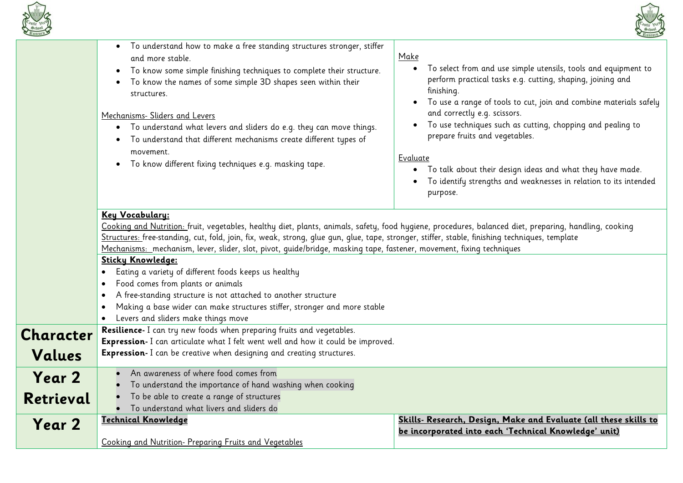



|                     | To understand how to make a free standing structures stronger, stiffer<br>$\bullet$<br>and more stable.<br>To know some simple finishing techniques to complete their structure.<br>To know the names of some simple 3D shapes seen within their<br>structures.<br>Mechanisms- Sliders and Levers<br>To understand what levers and sliders do e.g. they can move things.<br>$\bullet$<br>To understand that different mechanisms create different types of<br>movement.<br>To know different fixing techniques e.g. masking tape.<br>$\bullet$                                                                                                                                                                                                                                                            | Make<br>To select from and use simple utensils, tools and equipment to<br>perform practical tasks e.g. cutting, shaping, joining and<br>finishing.<br>To use a range of tools to cut, join and combine materials safely<br>$\bullet$<br>and correctly e.g. scissors.<br>To use techniques such as cutting, chopping and pealing to<br>$\bullet$<br>prepare fruits and vegetables.<br>Evaluate<br>To talk about their design ideas and what they have made.<br>To identify strengths and weaknesses in relation to its intended<br>purpose. |
|---------------------|-----------------------------------------------------------------------------------------------------------------------------------------------------------------------------------------------------------------------------------------------------------------------------------------------------------------------------------------------------------------------------------------------------------------------------------------------------------------------------------------------------------------------------------------------------------------------------------------------------------------------------------------------------------------------------------------------------------------------------------------------------------------------------------------------------------|--------------------------------------------------------------------------------------------------------------------------------------------------------------------------------------------------------------------------------------------------------------------------------------------------------------------------------------------------------------------------------------------------------------------------------------------------------------------------------------------------------------------------------------------|
|                     | Key Vocabulary:<br>Cooking and Nutrition: fruit, vegetables, healthy diet, plants, animals, safety, food hygiene, procedures, balanced diet, preparing, handling, cooking<br>Structures: free-standing, cut, fold, join, fix, weak, strong, glue gun, glue, tape, stronger, stiffer, stable, finishing techniques, template<br>Mechanisms: mechanism, lever, slider, slot, pivot, guide/bridge, masking tape, fastener, movement, fixing techniques<br><b>Sticky Knowledge:</b><br>Eating a variety of different foods keeps us healthy<br>Food comes from plants or animals<br>$\bullet$<br>A free-standing structure is not attached to another structure<br>$\bullet$<br>Making a base wider can make structures stiffer, stronger and more stable<br>$\bullet$<br>Levers and sliders make things move |                                                                                                                                                                                                                                                                                                                                                                                                                                                                                                                                            |
| Character<br>Values | Resilience- I can try new foods when preparing fruits and vegetables.<br>Expression- I can articulate what I felt went well and how it could be improved.<br>Expression- I can be creative when designing and creating structures.                                                                                                                                                                                                                                                                                                                                                                                                                                                                                                                                                                        |                                                                                                                                                                                                                                                                                                                                                                                                                                                                                                                                            |
| Year 2<br>Retrieval | An awareness of where food comes from<br>To understand the importance of hand washing when cooking<br>To be able to create a range of structures<br>To understand what livers and sliders do                                                                                                                                                                                                                                                                                                                                                                                                                                                                                                                                                                                                              |                                                                                                                                                                                                                                                                                                                                                                                                                                                                                                                                            |
| Year 2              | Technical Knowledge<br>Cooking and Nutrition- Preparing Fruits and Vegetables                                                                                                                                                                                                                                                                                                                                                                                                                                                                                                                                                                                                                                                                                                                             | Skills- Research, Design, Make and Evaluate (all these skills to<br>be incorporated into each 'Technical Knowledge' unit)                                                                                                                                                                                                                                                                                                                                                                                                                  |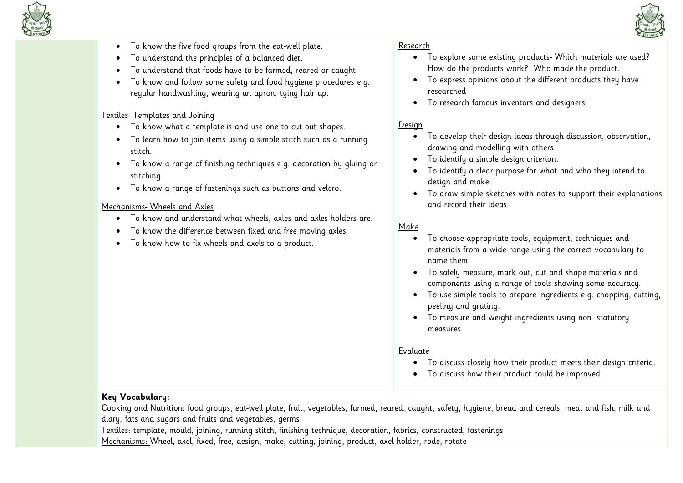



- To know the five food groups from the eat-well plate.
- To understand the principles of a balanced diet.
- To understand that foods have to be farmed, reared or caught.
- To know and follow some safety and food hygiene procedures e.g. regular handwashing, wearing an apron, tying hair up.

#### Textiles- Templates and Joining

- To know what a template is and use one to cut out shapes.
- To learn how to join items using a simple stitch such as a running stitch.
- To know a range of finishing techniques e.g. decoration by gluing or stitching.
- To know a range of fastenings such as buttons and velcro.

#### Mechanisms- Wheels and Axles

- To know and understand what wheels, axles and axles holders are.
- To know the difference between fixed and free moving axles.
- To know how to fix wheels and axels to a product.

### Research

- To explore some existing products- Which materials are used? How do the products work? Who made the product.
- To express opinions about the different products they have researched
- To research famous inventors and designers.

## Design

- To develop their design ideas through discussion, observation, drawing and modelling with others.
- To identify a simple design criterion.
- To identify a clear purpose for what and who they intend to design and make.
- To draw simple sketches with notes to support their explanations and record their ideas.

# Make

- To choose appropriate tools, equipment, techniques and materials from a wide range using the correct vocabulary to name them.
- To safely measure, mark out, cut and shape materials and components using a range of tools showing some accuracy.
- To use simple tools to prepare ingredients e.g. chopping, cutting, peeling and grating.
- To measure and weight ingredients using non- statutory measures.

## Evaluate

- To discuss closely how their product meets their design criteria.
- To discuss how their product could be improved.

# **Key Vocabulary:**

Cooking and Nutrition: food groups, eat-well plate, fruit, vegetables, farmed, reared, caught, safety, hygiene, bread and cereals, meat and fish, milk and diary, fats and sugars and fruits and vegetables, germs

Textiles: template, mould, joining, running stitch, finishing technique, decoration, fabrics, constructed, fastenings Mechanisms: Wheel, axel, fixed, free, design, make, cutting, joining, product, axel holder, rode, rotate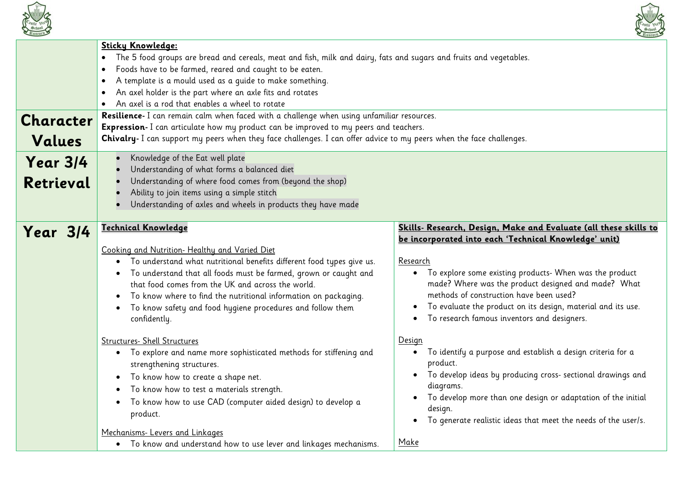



| Character                    | Sticky Knowledge:<br>The 5 food groups are bread and cereals, meat and fish, milk and dairy, fats and sugars and fruits and vegetables.<br>Foods have to be farmed, reared and caught to be eaten.<br>$\bullet$<br>A template is a mould used as a guide to make something.<br>$\bullet$<br>An axel holder is the part where an axle fits and rotates<br>$\bullet$<br>An axel is a rod that enables a wheel to rotate<br>Resilience- I can remain calm when faced with a challenge when using unfamiliar resources. |                                                                                                                                                                                                                                                                                                                                                                                                                   |
|------------------------------|---------------------------------------------------------------------------------------------------------------------------------------------------------------------------------------------------------------------------------------------------------------------------------------------------------------------------------------------------------------------------------------------------------------------------------------------------------------------------------------------------------------------|-------------------------------------------------------------------------------------------------------------------------------------------------------------------------------------------------------------------------------------------------------------------------------------------------------------------------------------------------------------------------------------------------------------------|
|                              | Expression- I can articulate how my product can be improved to my peers and teachers.<br>Chivalry- I can support my peers when they face challenges. I can offer advice to my peers when the face challenges.                                                                                                                                                                                                                                                                                                       |                                                                                                                                                                                                                                                                                                                                                                                                                   |
| Values                       |                                                                                                                                                                                                                                                                                                                                                                                                                                                                                                                     |                                                                                                                                                                                                                                                                                                                                                                                                                   |
| <b>Year 3/4</b><br>Retrieval | Knowledge of the Eat well plate<br>Understanding of what forms a balanced diet<br>Understanding of where food comes from (beyond the shop)<br>Ability to join items using a simple stitch<br>Understanding of axles and wheels in products they have made                                                                                                                                                                                                                                                           |                                                                                                                                                                                                                                                                                                                                                                                                                   |
| <b>Year 3/4</b>              | <u>Technical Knowledge</u><br>Cooking and Nutrition-Healthy and Varied Diet<br>To understand what nutritional benefits different food types give us.<br>To understand that all foods must be farmed, grown or caught and<br>that food comes from the UK and across the world.<br>To know where to find the nutritional information on packaging.<br>To know safety and food hygiene procedures and follow them<br>confidently.                                                                                      | Skills- Research, Design, Make and Evaluate (all these skills to<br>be incorporated into each 'Technical Knowledge' unit)<br>Research<br>To explore some existing products- When was the product<br>made? Where was the product designed and made? What<br>methods of construction have been used?<br>To evaluate the product on its design, material and its use.<br>To research famous inventors and designers. |
|                              | <b>Structures- Shell Structures</b><br>To explore and name more sophisticated methods for stiffening and<br>$\bullet$<br>strengthening structures.<br>To know how to create a shape net.<br>To know how to test a materials strength.<br>To know how to use CAD (computer aided design) to develop a<br>product.<br>Mechanisms-Levers and Linkages                                                                                                                                                                  | Design<br>To identify a purpose and establish a design criteria for a<br>product.<br>To develop ideas by producing cross- sectional drawings and<br>diagrams.<br>To develop more than one design or adaptation of the initial<br>design.<br>To generate realistic ideas that meet the needs of the user/s.<br>$\bullet$                                                                                           |
|                              | To know and understand how to use lever and linkages mechanisms.<br>$\bullet$                                                                                                                                                                                                                                                                                                                                                                                                                                       | <u>Make</u>                                                                                                                                                                                                                                                                                                                                                                                                       |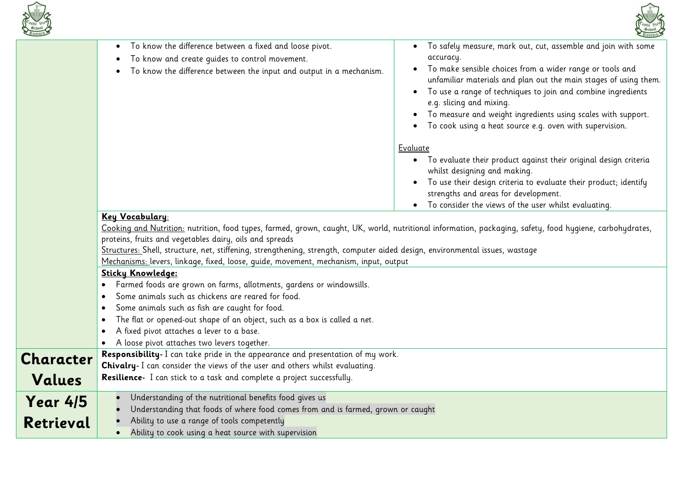



|                  | To know the difference between a fixed and loose pivot.<br>$\bullet$<br>To know and create quides to control movement.<br>To know the difference between the input and output in a mechanism. | To safely measure, mark out, cut, assemble and join with some<br>$\bullet$<br>accuracy.<br>To make sensible choices from a wider range or tools and<br>unfamiliar materials and plan out the main stages of using them.<br>To use a range of techniques to join and combine ingredients<br>$\bullet$<br>e.g. slicing and mixing.<br>To measure and weight ingredients using scales with support.<br>To cook using a heat source e.g. oven with supervision.<br>Evaluate |
|------------------|-----------------------------------------------------------------------------------------------------------------------------------------------------------------------------------------------|-------------------------------------------------------------------------------------------------------------------------------------------------------------------------------------------------------------------------------------------------------------------------------------------------------------------------------------------------------------------------------------------------------------------------------------------------------------------------|
|                  |                                                                                                                                                                                               | To evaluate their product against their original design criteria<br>whilst designing and making.                                                                                                                                                                                                                                                                                                                                                                        |
|                  |                                                                                                                                                                                               | To use their design criteria to evaluate their product; identify<br>strengths and areas for development.                                                                                                                                                                                                                                                                                                                                                                |
|                  |                                                                                                                                                                                               | To consider the views of the user whilst evaluating.                                                                                                                                                                                                                                                                                                                                                                                                                    |
|                  | Key Vocabulary:                                                                                                                                                                               |                                                                                                                                                                                                                                                                                                                                                                                                                                                                         |
|                  | Cooking and Nutrition: nutrition, food types, farmed, grown, caught, UK, world, nutritional information, packaging, safety, food hygiene, carbohydrates,                                      |                                                                                                                                                                                                                                                                                                                                                                                                                                                                         |
|                  | proteins, fruits and vegetables dairy, oils and spreads                                                                                                                                       |                                                                                                                                                                                                                                                                                                                                                                                                                                                                         |
|                  | Structures: Shell, structure, net, stiffening, strengthening, strength, computer aided design, environmental issues, wastage                                                                  |                                                                                                                                                                                                                                                                                                                                                                                                                                                                         |
|                  | Mechanisms: levers, linkage, fixed, loose, guide, movement, mechanism, input, output                                                                                                          |                                                                                                                                                                                                                                                                                                                                                                                                                                                                         |
|                  | <b>Sticky Knowledge:</b>                                                                                                                                                                      |                                                                                                                                                                                                                                                                                                                                                                                                                                                                         |
|                  | Farmed foods are grown on farms, allotments, gardens or windowsills.<br>$\bullet$                                                                                                             |                                                                                                                                                                                                                                                                                                                                                                                                                                                                         |
|                  | Some animals such as chickens are reared for food.<br>$\bullet$                                                                                                                               |                                                                                                                                                                                                                                                                                                                                                                                                                                                                         |
|                  | Some animals such as fish are caught for food.<br>$\bullet$                                                                                                                                   |                                                                                                                                                                                                                                                                                                                                                                                                                                                                         |
|                  | The flat or opened-out shape of an object, such as a box is called a net.<br>$\bullet$                                                                                                        |                                                                                                                                                                                                                                                                                                                                                                                                                                                                         |
|                  | A fixed pivot attaches a lever to a base.<br>$\bullet$                                                                                                                                        |                                                                                                                                                                                                                                                                                                                                                                                                                                                                         |
|                  | A loose pivot attaches two levers together.                                                                                                                                                   |                                                                                                                                                                                                                                                                                                                                                                                                                                                                         |
| <b>Character</b> | Responsibility- I can take pride in the appearance and presentation of my work.                                                                                                               |                                                                                                                                                                                                                                                                                                                                                                                                                                                                         |
|                  | Chivalry- I can consider the views of the user and others whilst evaluating.                                                                                                                  |                                                                                                                                                                                                                                                                                                                                                                                                                                                                         |
| Values           | Resilience- I can stick to a task and complete a project successfully.                                                                                                                        |                                                                                                                                                                                                                                                                                                                                                                                                                                                                         |
| <b>Year 4/5</b>  | Understanding of the nutritional benefits food gives us<br>$\bullet$                                                                                                                          |                                                                                                                                                                                                                                                                                                                                                                                                                                                                         |
|                  | Understanding that foods of where food comes from and is farmed, grown or caught                                                                                                              |                                                                                                                                                                                                                                                                                                                                                                                                                                                                         |
| Retrieval        | Ability to use a range of tools competently                                                                                                                                                   |                                                                                                                                                                                                                                                                                                                                                                                                                                                                         |
|                  | Ability to cook using a heat source with supervision                                                                                                                                          |                                                                                                                                                                                                                                                                                                                                                                                                                                                                         |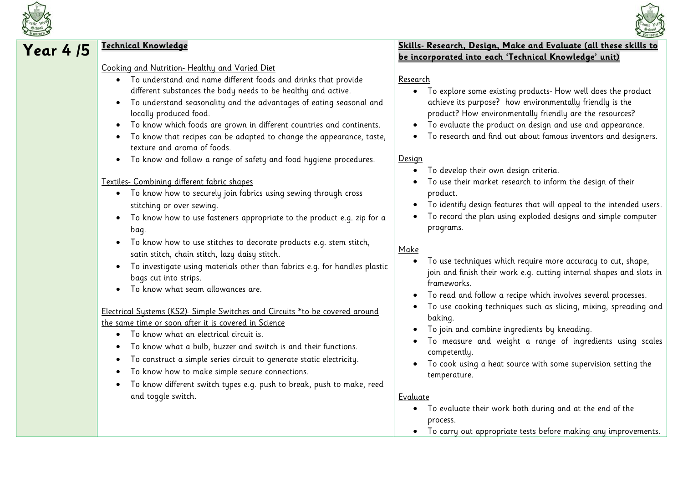



# **Year 4 /5 Technical Knowledge** Cooking and Nutrition- Healthy and Varied Diet • To understand and name different foods and drinks that provide different substances the body needs to be healthy and active. • To understand seasonality and the advantages of eating seasonal and locally produced food. • To know which foods are grown in different countries and continents. • To know that recipes can be adapted to change the appearance, taste, texture and aroma of foods.

• To know and follow a range of safety and food hygiene procedures.

#### Textiles- Combining different fabric shapes

- To know how to securely join fabrics using sewing through cross stitching or over sewing.
- To know how to use fasteners appropriate to the product e.g. zip for a bag.
- To know how to use stitches to decorate products e.g. stem stitch, satin stitch, chain stitch, lazy daisy stitch.
- To investigate using materials other than fabrics e.g. for handles plastic bags cut into strips.
- To know what seam allowances are.

#### Electrical Systems (KS2)- Simple Switches and Circuits \*to be covered around the same time or soon after it is covered in Science

- To know what an electrical circuit is.
- To know what a bulb, buzzer and switch is and their functions.
- To construct a simple series circuit to generate static electricity.
- To know how to make simple secure connections.
- To know different switch types e.g. push to break, push to make, reed and toggle switch.

## **Skills- Research, Design, Make and Evaluate (all these skills to be incorporated into each 'Technical Knowledge' unit)**

### Research

- To explore some existing products- How well does the product achieve its purpose? how environmentally friendly is the product? How environmentally friendly are the resources?
- To evaluate the product on design and use and appearance.
- To research and find out about famous inventors and designers.

## Design

- To develop their own design criteria.
- To use their market research to inform the design of their product.
- To identify design features that will appeal to the intended users.
- To record the plan using exploded designs and simple computer programs.

# Make

- To use techniques which require more accuracy to cut, shape, join and finish their work e.g. cutting internal shapes and slots in frameworks.
- To read and follow a recipe which involves several processes.
- To use cooking techniques such as slicing, mixing, spreading and baking.
- To join and combine ingredients by kneading.
- To measure and weight a range of ingredients using scales competently.
- To cook using a heat source with some supervision setting the temperature.

### Evaluate

- To evaluate their work both during and at the end of the process.
- To carry out appropriate tests before making any improvements.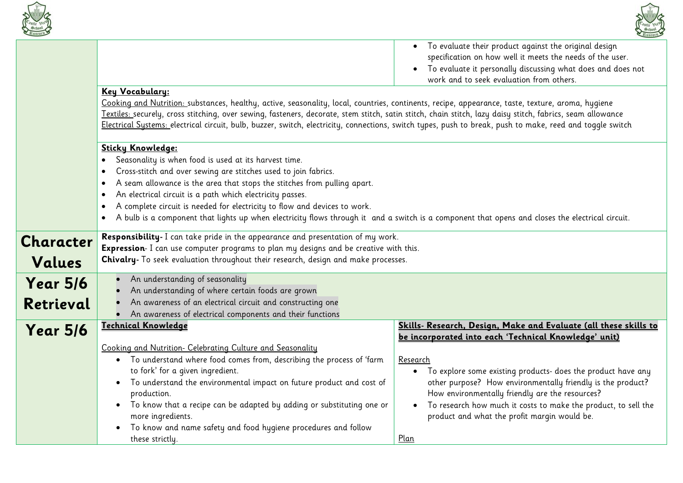

 $\overline{\textbf{C}}$ 



|                                                                                                                                                                                                                                                                                                                                                                                                                                                                                                                                                                                                       | <b>Sunroty</b>                                                                                                                                                                                                                                                                                                                                                                                                                            |
|-------------------------------------------------------------------------------------------------------------------------------------------------------------------------------------------------------------------------------------------------------------------------------------------------------------------------------------------------------------------------------------------------------------------------------------------------------------------------------------------------------------------------------------------------------------------------------------------------------|-------------------------------------------------------------------------------------------------------------------------------------------------------------------------------------------------------------------------------------------------------------------------------------------------------------------------------------------------------------------------------------------------------------------------------------------|
|                                                                                                                                                                                                                                                                                                                                                                                                                                                                                                                                                                                                       | To evaluate their product against the original design<br>specification on how well it meets the needs of the user.<br>To evaluate it personally discussing what does and does not<br>work and to seek evaluation from others.                                                                                                                                                                                                             |
| Cooking and Nutrition: substances, healthy, active, seasonality, local, countries, continents, recipe, appearance, taste, texture, aroma, hygiene<br>Textiles: securely, cross stitching, over sewing, fasteners, decorate, stem stitch, satin stitch, chain stitch, lazy daisy stitch, fabrics, seam allowance<br>Electrical Systems: electrical circuit, bulb, buzzer, switch, electricity, connections, switch types, push to break, push to make, reed and toggle switch                                                                                                                          |                                                                                                                                                                                                                                                                                                                                                                                                                                           |
| Sticky Knowledge:<br>Seasonality is when food is used at its harvest time.<br>$\bullet$<br>Cross-stitch and over sewing are stitches used to join fabrics.<br>$\bullet$<br>A seam allowance is the area that stops the stitches from pulling apart.<br>$\bullet$<br>An electrical circuit is a path which electricity passes.<br>$\bullet$<br>A complete circuit is needed for electricity to flow and devices to work.<br>$\bullet$<br>A bulb is a component that lights up when electricity flows through it and a switch is a component that opens and closes the electrical circuit.<br>$\bullet$ |                                                                                                                                                                                                                                                                                                                                                                                                                                           |
| Responsibility- I can take pride in the appearance and presentation of my work.<br>Expression- I can use computer programs to plan my designs and be creative with this.<br>Chivalry- To seek evaluation throughout their research, design and make processes.                                                                                                                                                                                                                                                                                                                                        |                                                                                                                                                                                                                                                                                                                                                                                                                                           |
| An understanding of seasonality<br>An understanding of where certain foods are grown<br>An awareness of an electrical circuit and constructing one                                                                                                                                                                                                                                                                                                                                                                                                                                                    |                                                                                                                                                                                                                                                                                                                                                                                                                                           |
| <u>Technical Knowledge</u><br>Cooking and Nutrition- Celebrating Culture and Seasonality<br>• To understand where food comes from, describing the process of 'farm<br>to fork' for a given ingredient.<br>To understand the environmental impact on future product and cost of<br>$\bullet$<br>production.<br>To know that a recipe can be adapted by adding or substituting one or<br>$\bullet$<br>more ingredients.<br>To know and name safety and food hygiene procedures and follow                                                                                                               | Skills- Research, Design, Make and Evaluate (all these skills to<br>be incorporated into each 'Technical Knowledge' unit)<br>Research<br>To explore some existing products- does the product have any<br>other purpose? How environmentally friendly is the product?<br>How environmentally friendly are the resources?<br>To research how much it costs to make the product, to sell the<br>product and what the profit margin would be. |
| these strictly.                                                                                                                                                                                                                                                                                                                                                                                                                                                                                                                                                                                       | Plan                                                                                                                                                                                                                                                                                                                                                                                                                                      |
|                                                                                                                                                                                                                                                                                                                                                                                                                                                                                                                                                                                                       | Key Vocabulary:<br>An awareness of electrical components and their functions                                                                                                                                                                                                                                                                                                                                                              |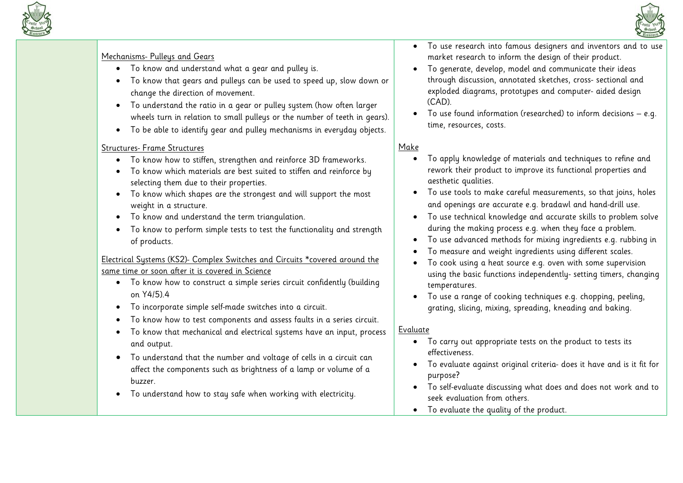



### Mechanisms- Pulleys and Gears

- To know and understand what a gear and pulley is.
- To know that gears and pulleys can be used to speed up, slow down or change the direction of movement.
- To understand the ratio in a gear or pulley system (how often larger wheels turn in relation to small pulleys or the number of teeth in gears).
- To be able to identify gear and pulley mechanisms in everyday objects.

#### Structures- Frame Structures

- To know how to stiffen, strengthen and reinforce 3D frameworks.
- To know which materials are best suited to stiffen and reinforce by selecting them due to their properties.
- To know which shapes are the strongest and will support the most weight in a structure.
- To know and understand the term triangulation.
- To know to perform simple tests to test the functionality and strength of products.

#### Electrical Systems (KS2)- Complex Switches and Circuits \*covered around the same time or soon after it is covered in Science

- To know how to construct a simple series circuit confidently (building on  $Y4/5$ ) 4
- To incorporate simple self-made switches into a circuit.
- To know how to test components and assess faults in a series circuit.
- To know that mechanical and electrical systems have an input, process and output.
- To understand that the number and voltage of cells in a circuit can affect the components such as brightness of a lamp or volume of a buzzer.
- To understand how to stay safe when working with electricity.
- To use research into famous designers and inventors and to use market research to inform the design of their product.
- To generate, develop, model and communicate their ideas through discussion, annotated sketches, cross- sectional and exploded diagrams, prototypes and computer- aided design (CAD).
- To use found information (researched) to inform decisions e.g. time, resources, costs.

#### Make

- To apply knowledge of materials and techniques to refine and rework their product to improve its functional properties and aesthetic qualities.
- To use tools to make careful measurements, so that joins, holes and openings are accurate e.g. bradawl and hand-drill use.
- To use technical knowledge and accurate skills to problem solve during the making process e.g. when they face a problem.
- To use advanced methods for mixing ingredients e.g. rubbing in
- To measure and weight ingredients using different scales.
- To cook using a heat source e.g. oven with some supervision using the basic functions independently- setting timers, changing temperatures.
- To use a range of cooking techniques e.g. chopping, peeling, grating, slicing, mixing, spreading, kneading and baking.

## Evaluate

- To carry out appropriate tests on the product to tests its effectiveness.
- To evaluate against original criteria- does it have and is it fit for purpose?
- To self-evaluate discussing what does and does not work and to seek evaluation from others.
- To evaluate the quality of the product.